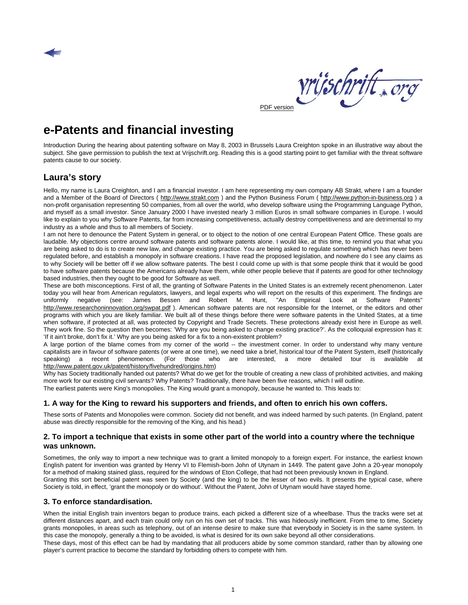



## <span id="page-0-0"></span>**e-Patents and financial investing**

Introduction During the hearing about patenting software on May 8, 2003 in Brussels Laura Creighton spoke in an illustrative way about the subject. She gave permission to publish the text at Vrijschrift.org. Reading this is a good starting point to get familiar with the threat software patents cause to our society.

### <span id="page-0-1"></span>**Laura's story**

Hello, my name is Laura Creighton, and I am a financial investor. I am here representing my own company AB Strakt, where I am a founder and a Member of the Board of Directors ( [http://www.strakt.com](http://www.strakt.com/) ) and the Python Business Forum ( [http://www.python-in-business.org](http://www.python-in-business.org/) ) a non-profit organisation representing 50 companies, from all over the world, who develop software using the Programming Language Python, and myself as a small investor. Since January 2000 I have invested nearly 3 million Euros in small software companies in Europe. I would like to explain to you why Software Patents, far from increasing competitiveness, actually destroy competitiveness and are detrimental to my industry as a whole and thus to all members of Society.

I am not here to denounce the Patent System in general, or to object to the notion of one central European Patent Office. These goals are laudable. My objections centre around software patents and software patents alone. I would like, at this time, to remind you that what you are being asked to do is to create new law, and change existing practice. You are being asked to regulate something which has never been regulated before, and establish a monopoly in software creations. I have read the proposed legislation, and nowhere do I see any claims as to why Society will be better off if we allow software patents. The best I could come up with is that some people think that it would be good to have software patents because the Americans already have them, while other people believe that if patents are good for other technology based industries, then they ought to be good for Software as well.

These are both misconceptions. First of all, the granting of Software Patents in the United States is an extremely recent phenomenon. Later today you will hear from American regulators, lawyers, and legal experts who will report on the results of this experiment. The findings are uniformly negative (see: James Bessen and Robert M. Hunt, "An Empirical Look at Software Patents" http://www.researchoninnovation.org/swpat.pdf). American software patents are not responsible for the Internet, or the editors and other programs with which you are likely familiar. We built all of these things before there were software patents in the United States, at a time when software, if protected at all, was protected by Copyright and Trade Secrets. These protections already exist here in Europe as well. They work fine. So the question then becomes: 'Why are you being asked to change existing practice?'. As the colloquial expression has it: 'If it ain't broke, don't fix it.' Why are you being asked for a fix to a non-existent problem?

A large portion of the blame comes from my corner of the world -- the investment corner. In order to understand why many venture capitalists are in favour of software patents (or were at one time), we need take a brief, historical tour of the Patent System, itself (historically speaking) a recent phenomenon. (For those who are interested, a more detailed tour is available at [http://www.patent.gov.uk/patent/history/fivehundred/origins.htm\)](http://www.patent.gov.uk/patent/history/fivehundred/origins.htm)

Why has Society traditionally handed out patents? What do we get for the trouble of creating a new class of prohibited activities, and making more work for our existing civil servants? Why Patents? Traditionally, there have been five reasons, which I will outline. The earliest patents were King's monopolies. The King would grant a monopoly, because he wanted to. This leads to:

#### <span id="page-0-2"></span>**1. A way for the King to reward his supporters and friends, and often to enrich his own coffers.**

These sorts of Patents and Monopolies were common. Society did not benefit, and was indeed harmed by such patents. (In England, patent abuse was directly responsible for the removing of the King, and his head.)

#### <span id="page-0-3"></span>**2. To import a technique that exists in some other part of the world into a country where the technique was unknown.**

Sometimes, the only way to import a new technique was to grant a limited monopoly to a foreign expert. For instance, the earliest known English patent for invention was granted by Henry VI to Flemish-born John of Utynam in 1449. The patent gave John a 20-year monopoly for a method of making stained glass, required for the windows of Eton College, that had not been previously known in England. Granting this sort beneficial patent was seen by Society (and the king) to be the lesser of two evils. It presents the typical case, where Society is told, in effect, 'grant the monopoly or do without'. Without the Patent, John of Utynam would have stayed home.

#### <span id="page-0-4"></span>**3. To enforce standardisation.**

When the initial English train inventors began to produce trains, each picked a different size of a wheelbase. Thus the tracks were set at different distances apart, and each train could only run on his own set of tracks. This was hideously inefficient. From time to time, Society grants monopolies, in areas such as telephony, out of an intense desire to make sure that everybody in Society is in the same system. In this case the monopoly, generally a thing to be avoided, is what is desired for its own sake beyond all other considerations.

These days, most of this effect can be had by mandating that all producers abide by some common standard, rather than by allowing one player's current practice to become the standard by forbidding others to compete with him.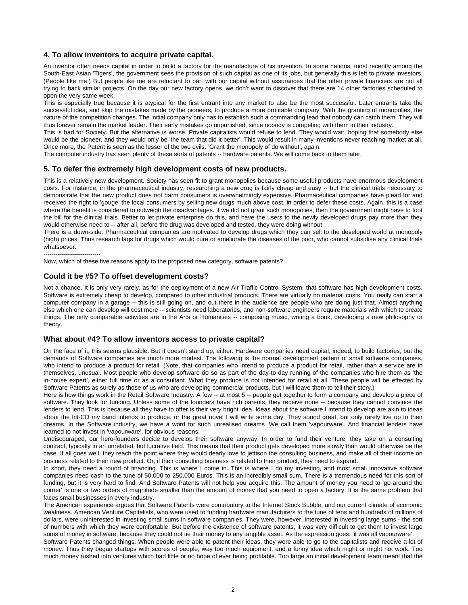#### <span id="page-1-0"></span>**4. To allow inventors to acquire private capital.**

An inventor often needs capital in order to build a factory for the manufacture of his invention. In some nations, most recently among the South-East Asian 'Tigers', the government sees the provision of such capital as one of its jobs, but generally this is left to private investors. (People like me.) But people like me are reluctant to part with our capital without assurances that the other private financiers are not all trying to back similar projects. On the day our new factory opens, we don't want to discover that there are 14 other factories scheduled to open the very same week.

This is especially true because it is atypical for the first entrant into any market to also be the most successful. Later entrants take the successful idea, and skip the mistakes made by the pioneers, to produce a more profitable company. With the granting of monopolies, the nature of the competition changes. The initial company only has to establish such a commanding lead that nobody can catch them. They will thus forever remain the market leader. Their early mistakes go unpunished, since nobody is competing with them in their industry.

This is bad for Society. But the alternative is worse. Private capitalists would refuse to lend. They would wait, hoping that somebody else would be the pioneer, and they would only be 'the team that did it better'. This would result in many inventions never reaching market at all. Once more, the Patent is seen as the lesser of the two evils. 'Grant the monopoly of do without', again.

The computer industry has seen plenty of these sorts of patents -- hardware patents. We will come back to them later.

#### <span id="page-1-1"></span>**5. To defer the extremely high development costs of new products.**

This is a relatively new development. Society has seen fit to grant monopolies because some useful products have enormous development costs. For instance, in the pharmaceutical industry, researching a new drug is fairly cheap and easy -- but the clinical trials necessary to demonstrate that the new product does not harm consumers is overwhelmingly expensive. Pharmaceutical companies have plead for and received the right to 'gouge' the local consumers by selling new drugs much above cost, in order to defer these costs. Again, this is a case where the benefit is considered to outweigh the disadvantages. If we did not grant such monopolies, then the government might have to foot the bill for the clinical trials. Better to let private enterprise do this, and have the users to the newly developed drugs pay more than they would otherwise need to -- after all, before the drug was developed and tested, they were doing without.

There is a down-side. Pharmaceutical companies are motivated to develop drugs which they can sell to the developed world at monopoly (high) prices. Thus research lags for drugs which would cure or ameliorate the diseases of the poor, who cannot subsidise any clinical trials whatsoever.

----------------------------

Now, which of these five reasons apply to the proposed new category, software patents?

#### <span id="page-1-2"></span>**Could it be #5? To offset development costs?**

Not a chance. It is only very rarely, as for the deployment of a new Air Traffic Control System, that software has high development costs. Software is extremely cheap to develop, compared to other industrial products. There are virtually no material costs. You really can start a computer company in a garage -- this is still going on, and out there in the audience are people who are doing just that. Almost anything else which one can develop will cost more -- scientists need laboratories, and non-software engineers require materials with which to create things. The only comparable activities are in the Arts or Humanities -- composing music, writing a book, developing a new philosophy or theory.

#### <span id="page-1-3"></span>**What about #4? To allow inventors access to private capital?**

On the face of it, this seems plausible. But it doesn't stand up, either. Hardware companies need capital, indeed, to build factories, but the demands of Software companies are much more modest. The following is the normal development pattern of small software companies, who intend to produce a product for retail. (Note, that companies who intend to produce a product for retail, rather than a service are in themselves, unusual. Most people who develop software do so as part of the day-to day running of the companies who hire them as 'the in-house expert', either full time or as a consultant. What they produce is not intended for retail at all. These people will be effected by Software Patents as surely as those of us who are developing commercial products, but I will leave them to tell their story.)

Here is how things work in the Retail Software Industry. A few -- at most 5 -- people get together to form a company and develop a piece of software. They look for funding. Unless some of the founders have rich parents, they receive none -- because they cannot convince the lenders to lend. This is because all they have to offer is their very bright idea. Ideas about the software I intend to develop are akin to ideas about the hit-CD my band intends to produce, or the great novel I will write some day. They sound great, but only rarely live up to their dreams. In the Software industry, we have a word for such unrealised dreams. We call them 'vapourware'. And financial lenders have learned to not invest in 'vapourware', for obvious reasons.

Undiscouraged, our hero-founders decide to develop their software anyway. In order to fund their venture, they take on a consulting contract, typically in an unrelated, but lucrative field. This means that their product gets developed more slowly than would otherwise be the case. If all goes well, they reach the point where they would dearly love to jettison the consulting business, and make all of their income on business related to their new product. Or, if their consulting business is related to their product, they need to expand.

In short, they need a round of financing. This is where I come in. This is where I do my investing, and most small innovative software companies need cash to the tune of 50,000 to 250,000 Euros. This is an incredibly small sum. There is a tremendous need for this sort of funding, but it is very hard to find. And Software Patents will not help you acquire this. The amount of money you need to 'go around the corner' is one or two orders of magnitude smaller than the amount of money that you need to open a factory. It is the same problem that faces small businesses in every industry.

The American experience argues that Software Patents were contributory to the Internet Stock Bubble, and our current climate of economic weakness. American Venture Capitalists, who were used to funding hardware manufacturers to the tune of tens and hundreds of millions of dollars, were uninterested in investing small sums in software companies. They were, however, interested in investing large sums - the sort of numbers with which they were comfortable. But before the existence of software patents, it was very difficult to get them to invest large sums of money in software, because they could not tie their money to any tangible asset. As the expression goes: 'it was all vapourware'.

Software Patents changed things. When people were able to patent their ideas, they were able to go to the capitalists and receive a lot of money. Thus they began startups with scores of people, way too much equipment, and a funny idea which might or might not work. Too much money rushed into ventures which had little or no hope of ever being profitable. Too large an initial development team meant that the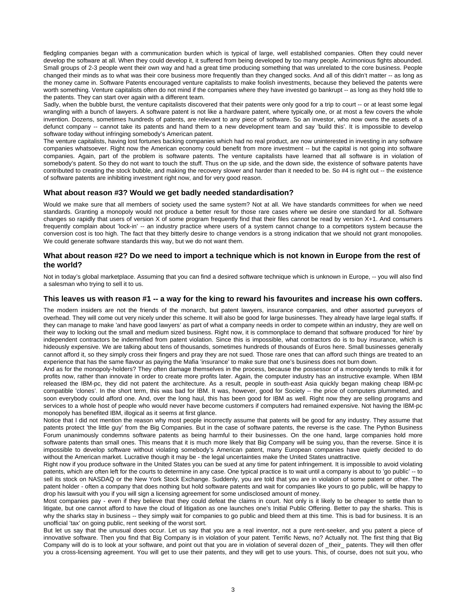fledgling companies began with a communication burden which is typical of large, well established companies. Often they could never develop the software at all. When they could develop it, it suffered from being developed by too many people. Acrimonious fights abounded. Small groups of 2-3 people went their own way and had a great time producing something that was unrelated to the core business. People changed their minds as to what was their core business more frequently than they changed socks. And all of this didn't matter -- as long as the money came in. Software Patents encouraged venture capitalists to make foolish investments, because they believed the patents were worth something. Venture capitalists often do not mind if the companies where they have invested go bankrupt -- as long as they hold title to the patents. They can start over again with a different team.

Sadly, when the bubble burst, the venture capitalists discovered that their patents were only good for a trip to court -- or at least some legal wrangling with a bunch of lawyers. A software patent is not like a hardware patent, where typically one, or at most a few covers the whole invention. Dozens, sometimes hundreds of patents, are relevant to any piece of software. So an investor, who now owns the assets of a defunct company -- cannot take its patents and hand them to a new development team and say 'build this'. It is impossible to develop software today without infringing somebody's American patent.

The venture capitalists, having lost fortunes backing companies which had no real product, are now uninterested in investing in any software companies whatsoever. Right now the American economy could benefit from more investment -- but the capital is not going into software companies. Again, part of the problem is software patents. The venture capitalists have learned that all software is in violation of somebody's patent. So they do not want to touch the stuff. Thus on the up side, and the down side, the existence of software patents have contributed to creating the stock bubble, and making the recovery slower and harder than it needed to be. So #4 is right out -- the existence of software patents are inhibiting investment right now, and for very good reason.

#### <span id="page-2-0"></span>**What about reason #3? Would we get badly needed standardisation?**

Would we make sure that all members of society used the same system? Not at all. We have standards committees for when we need standards. Granting a monopoly would not produce a better result for those rare cases where we desire one standard for all. Software changes so rapidly that users of version X of some program frequently find that their files cannot be read by version X+1. And consumers frequently complain about 'lock-in' -- an industry practice where users of a system cannot change to a competitors system because the conversion cost is too high. The fact that they bitterly desire to change vendors is a strong indication that we should not grant monopolies. We could generate software standards this way, but we do not want them.

#### <span id="page-2-1"></span>**What about reason #2? Do we need to import a technique which is not known in Europe from the rest of the world?**

Not in today's global marketplace. Assuming that you can find a desired software technique which is unknown in Europe, -- you will also find a salesman who trying to sell it to us.

#### <span id="page-2-2"></span>**This leaves us with reason #1 -- a way for the king to reward his favourites and increase his own coffers.**

The modern insiders are not the friends of the monarch, but patent lawyers, insurance companies, and other assorted purveyors of overhead. They will come out very nicely under this scheme. It will also be good for large businesses. They already have large legal staffs. If they can manage to make 'and have good lawyers' as part of what a company needs in order to compete within an industry, they are well on their way to locking out the small and medium sized business. Right now, it is commonplace to demand that software produced 'for hire' by independent contractors be indemnified from patent violation. Since this is impossible, what contractors do is to buy insurance, which is hideously expensive. We are talking about tens of thousands, sometimes hundreds of thousands of Euros here. Small businesses generally cannot afford it, so they simply cross their fingers and pray they are not sued. Those rare ones that can afford such things are treated to an experience that has the same flavour as paying the Mafia 'insurance' to make sure that one's business does not burn down.

And as for the monopoly-holders? They often damage themselves in the process, because the possessor of a monopoly tends to milk it for profits now, rather than innovate in order to create more profits later. Again, the computer industry has an instructive example. When IBM released the IBM-pc, they did not patent the architecture. As a result, people in south-east Asia quickly began making cheap IBM-pc compatible 'clones'. In the short term, this was bad for IBM. It was, however, good for Society -- the price of computers plummeted, and soon everybody could afford one. And, over the long haul, this has been good for IBM as well. Right now they are selling programs and services to a whole host of people who would never have become customers if computers had remained expensive. Not having the IBM-pc monopoly has benefited IBM, illogical as it seems at first glance.

Notice that I did not mention the reason why most people incorrectly assume that patents will be good for any industry. They assume that patents protect 'the little guy' from the Big Companies. But in the case of software patents, the reverse is the case. The Python Business Forum unanimously condemns software patents as being harmful to their businesses. On the one hand, large companies hold more software patents than small ones. This means that it is much more likely that Big Company will be suing you, than the reverse. Since it is impossible to develop software without violating somebody's American patent, many European companies have quietly decided to do without the American market. Lucrative though it may be - the legal uncertainties make the United States unattractive.

Right now if you produce software in the United States you can be sued at any time for patent infringement. It is impossible to avoid violating patents, which are often left for the courts to determine in any case. One typical practice is to wait until a company is about to 'go public' -- to sell its stock on NASDAQ or the New York Stock Exchange. Suddenly, you are told that you are in violation of some patent or other. The patent holder - often a company that does nothing but hold software patents and wait for companies like yours to go public, will be happy to drop his lawsuit with you if you will sign a licensing agreement for some undisclosed amount of money.

Most companies pay - even if they believe that they could defeat the claims in court. Not only is it likely to be cheaper to settle than to litigate, but one cannot afford to have the cloud of litigation as one launches one's Initial Public Offering. Better to pay the sharks. This is why the sharks stay in business -- they simply wait for companies to go public and bleed them at this time. This is bad for business. It is an unofficial 'tax' on going public, rent seeking of the worst sort.

But let us say that the unusual does occur. Let us say that you are a real inventor, not a pure rent-seeker, and you patent a piece of innovative software. Then you find that Big Company is in violation of your patent. Terrific News, no? Actually not. The first thing that Big Company will do is to look at your software, and point out that you are in violation of several dozen of \_their\_ patents. They will then offer you a cross-licensing agreement. You will get to use their patents, and they will get to use yours. This, of course, does not suit you, who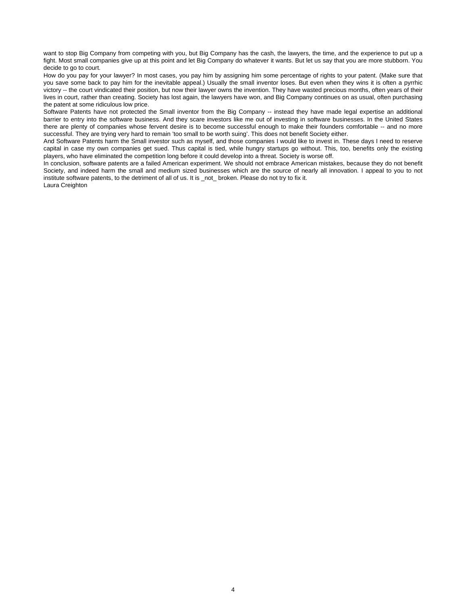want to stop Big Company from competing with you, but Big Company has the cash, the lawyers, the time, and the experience to put up a fight. Most small companies give up at this point and let Big Company do whatever it wants. But let us say that you are more stubborn. You decide to go to court.

How do you pay for your lawyer? In most cases, you pay him by assigning him some percentage of rights to your patent. (Make sure that you save some back to pay him for the inevitable appeal.) Usually the small inventor loses. But even when they wins it is often a pyrrhic victory -- the court vindicated their position, but now their lawyer owns the invention. They have wasted precious months, often years of their lives in court, rather than creating. Society has lost again, the lawyers have won, and Big Company continues on as usual, often purchasing the patent at some ridiculous low price.

Software Patents have not protected the Small inventor from the Big Company -- instead they have made legal expertise an additional barrier to entry into the software business. And they scare investors like me out of investing in software businesses. In the United States there are plenty of companies whose fervent desire is to become successful enough to make their founders comfortable -- and no more successful. They are trying very hard to remain 'too small to be worth suing'. This does not benefit Society either.

And Software Patents harm the Small investor such as myself, and those companies I would like to invest in. These days I need to reserve capital in case my own companies get sued. Thus capital is tied, while hungry startups go without. This, too, benefits only the existing players, who have eliminated the competition long before it could develop into a threat. Society is worse off.

In conclusion, software patents are a failed American experiment. We should not embrace American mistakes, because they do not benefit Society, and indeed harm the small and medium sized businesses which are the source of nearly all innovation. I appeal to you to not institute software patents, to the detriment of all of us. It is not broken. Please do not try to fix it.